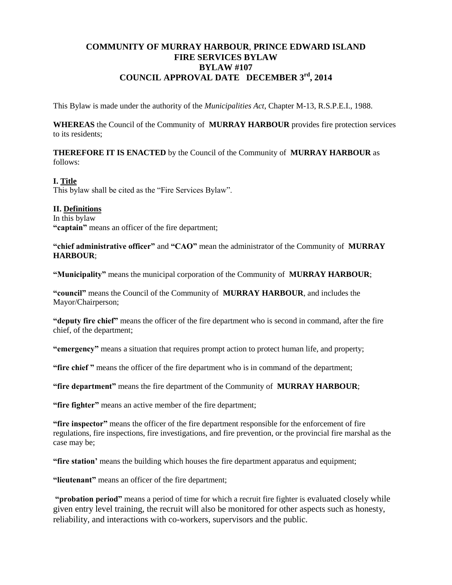# **COMMUNITY OF MURRAY HARBOUR**, **PRINCE EDWARD ISLAND FIRE SERVICES BYLAW BYLAW #107 COUNCIL APPROVAL DATE DECEMBER 3 rd, 2014**

This Bylaw is made under the authority of the *Municipalities Act*, Chapter M-13, R.S.P.E.I., 1988.

**WHEREAS** the Council of the Community of **MURRAY HARBOUR** provides fire protection services to its residents;

**THEREFORE IT IS ENACTED** by the Council of the Community of **MURRAY HARBOUR** as follows:

## **I. Title**

This bylaw shall be cited as the "Fire Services Bylaw".

## **II. Definitions**

In this bylaw **"captain"** means an officer of the fire department;

**"chief administrative officer"** and **"CAO"** mean the administrator of the Community of **MURRAY HARBOUR**;

**"Municipality"** means the municipal corporation of the Community of **MURRAY HARBOUR**;

**"council"** means the Council of the Community of **MURRAY HARBOUR**, and includes the Mayor/Chairperson;

**"deputy fire chief"** means the officer of the fire department who is second in command, after the fire chief, of the department;

**"emergency"** means a situation that requires prompt action to protect human life, and property;

**"fire chief "** means the officer of the fire department who is in command of the department;

**"fire department"** means the fire department of the Community of **MURRAY HARBOUR**;

**"fire fighter"** means an active member of the fire department;

**"fire inspector"** means the officer of the fire department responsible for the enforcement of fire regulations, fire inspections, fire investigations, and fire prevention, or the provincial fire marshal as the case may be;

**"fire station'** means the building which houses the fire department apparatus and equipment;

**"lieutenant"** means an officer of the fire department;

**"probation period"** means a period of time for which a recruit fire fighter is evaluated closely while given entry level training, the recruit will also be monitored for other aspects such as honesty, reliability, and interactions with co-workers, supervisors and the public.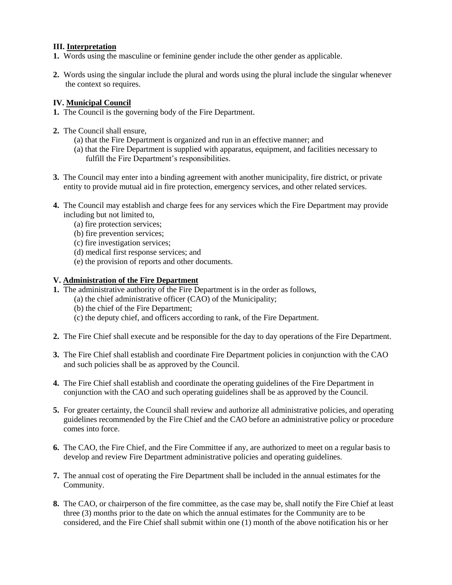## **III. Interpretation**

- **1.** Words using the masculine or feminine gender include the other gender as applicable.
- **2.** Words using the singular include the plural and words using the plural include the singular whenever the context so requires.

#### **IV. Municipal Council**

- **1.** The Council is the governing body of the Fire Department.
- **2.** The Council shall ensure,
	- (a) that the Fire Department is organized and run in an effective manner; and
	- (a) that the Fire Department is supplied with apparatus, equipment, and facilities necessary to fulfill the Fire Department's responsibilities.
- **3.** The Council may enter into a binding agreement with another municipality, fire district, or private entity to provide mutual aid in fire protection, emergency services, and other related services.
- **4.** The Council may establish and charge fees for any services which the Fire Department may provide including but not limited to,
	- (a) fire protection services;
	- (b) fire prevention services;
	- (c) fire investigation services;
	- (d) medical first response services; and
	- (e) the provision of reports and other documents.

## **V. Administration of the Fire Department**

- **1.** The administrative authority of the Fire Department is in the order as follows,
	- (a) the chief administrative officer (CAO) of the Municipality;
	- (b) the chief of the Fire Department;
	- (c) the deputy chief, and officers according to rank, of the Fire Department.
- **2.** The Fire Chief shall execute and be responsible for the day to day operations of the Fire Department.
- **3.** The Fire Chief shall establish and coordinate Fire Department policies in conjunction with the CAO and such policies shall be as approved by the Council.
- **4.** The Fire Chief shall establish and coordinate the operating guidelines of the Fire Department in conjunction with the CAO and such operating guidelines shall be as approved by the Council.
- **5.** For greater certainty, the Council shall review and authorize all administrative policies, and operating guidelines recommended by the Fire Chief and the CAO before an administrative policy or procedure comes into force.
- **6.** The CAO, the Fire Chief, and the Fire Committee if any, are authorized to meet on a regular basis to develop and review Fire Department administrative policies and operating guidelines.
- **7.** The annual cost of operating the Fire Department shall be included in the annual estimates for the Community.
- **8.** The CAO, or chairperson of the fire committee, as the case may be, shall notify the Fire Chief at least three (3) months prior to the date on which the annual estimates for the Community are to be considered, and the Fire Chief shall submit within one (1) month of the above notification his or her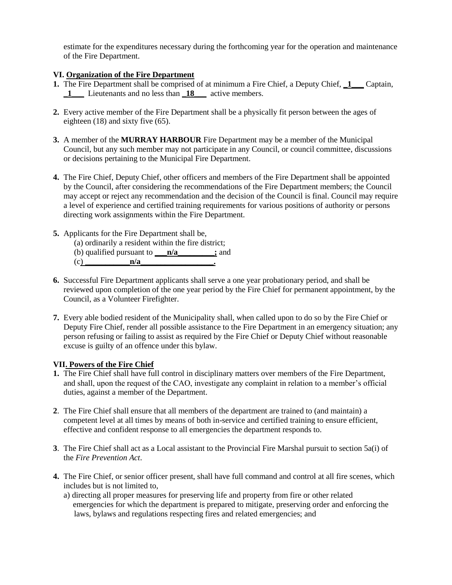estimate for the expenditures necessary during the forthcoming year for the operation and maintenance of the Fire Department.

## **VI. Organization of the Fire Department**

- **1.** The Fire Department shall be comprised of at minimum a Fire Chief, a Deputy Chief, **\_1\_\_\_** Captain, **\_1\_\_\_** Lieutenants and no less than **\_18\_\_\_** active members.
- **2.** Every active member of the Fire Department shall be a physically fit person between the ages of eighteen (18) and sixty five (65).
- **3.** A member of the **MURRAY HARBOUR** Fire Department may be a member of the Municipal Council, but any such member may not participate in any Council, or council committee, discussions or decisions pertaining to the Municipal Fire Department.
- **4.** The Fire Chief, Deputy Chief, other officers and members of the Fire Department shall be appointed by the Council, after considering the recommendations of the Fire Department members; the Council may accept or reject any recommendation and the decision of the Council is final. Council may require a level of experience and certified training requirements for various positions of authority or persons directing work assignments within the Fire Department.
- **5.** Applicants for the Fire Department shall be, (a) ordinarily a resident within the fire district; (b) qualified pursuant to  $\frac{n}{a}$  ; and  $n/a$   $n/a$   $n/a$
- **6.** Successful Fire Department applicants shall serve a one year probationary period, and shall be reviewed upon completion of the one year period by the Fire Chief for permanent appointment, by the Council, as a Volunteer Firefighter.
- **7.** Every able bodied resident of the Municipality shall, when called upon to do so by the Fire Chief or Deputy Fire Chief, render all possible assistance to the Fire Department in an emergency situation; any person refusing or failing to assist as required by the Fire Chief or Deputy Chief without reasonable excuse is guilty of an offence under this bylaw.

#### **VII. Powers of the Fire Chief**

- **1.** The Fire Chief shall have full control in disciplinary matters over members of the Fire Department, and shall, upon the request of the CAO, investigate any complaint in relation to a member's official duties, against a member of the Department.
- **2**. The Fire Chief shall ensure that all members of the department are trained to (and maintain) a competent level at all times by means of both in-service and certified training to ensure efficient, effective and confident response to all emergencies the department responds to.
- **3**. The Fire Chief shall act as a Local assistant to the Provincial Fire Marshal pursuit to section 5a(i) of the *Fire Prevention Act*.
- **4.** The Fire Chief, or senior officer present, shall have full command and control at all fire scenes, which includes but is not limited to,
	- a) directing all proper measures for preserving life and property from fire or other related emergencies for which the department is prepared to mitigate, preserving order and enforcing the laws, bylaws and regulations respecting fires and related emergencies; and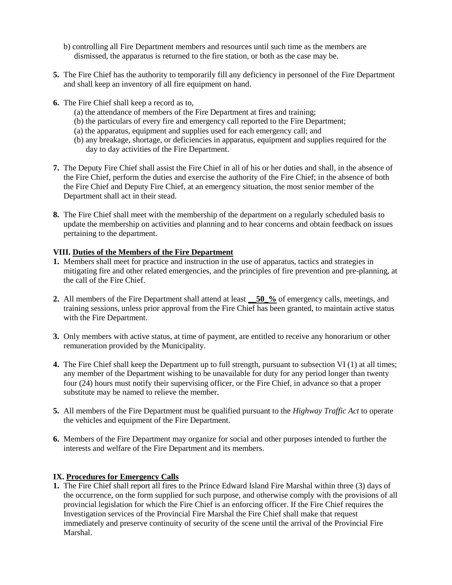- b) controlling all Fire Department members and resources until such time as the members are dismissed, the apparatus is returned to the fire station, or both as the case may be.
- **5.** The Fire Chief has the authority to temporarily fill any deficiency in personnel of the Fire Department and shall keep an inventory of all fire equipment on hand.
- **6.** The Fire Chief shall keep a record as to,
	- (a) the attendance of members of the Fire Department at fires and training;
	- (b) the particulars of every fire and emergency call reported to the Fire Department;
	- (a) the apparatus, equipment and supplies used for each emergency call; and
	- (b) any breakage, shortage, or deficiencies in apparatus, equipment and supplies required for the day to day activities of the Fire Department.
- **7.** The Deputy Fire Chief shall assist the Fire Chief in all of his or her duties and shall, in the absence of the Fire Chief, perform the duties and exercise the authority of the Fire Chief; in the absence of both the Fire Chief and Deputy Fire Chief, at an emergency situation, the most senior member of the Department shall act in their stead.
- **8.** The Fire Chief shall meet with the membership of the department on a regularly scheduled basis to update the membership on activities and planning and to hear concerns and obtain feedback on issues pertaining to the department.

#### **VIII. Duties of the Members of the Fire Department**

- **1.** Members shall meet for practice and instruction in the use of apparatus, tactics and strategies in mitigating fire and other related emergencies, and the principles of fire prevention and pre-planning, at the call of the Fire Chief.
- **2.** All members of the Fire Department shall attend at least **\_\_50\_%** of emergency calls, meetings, and training sessions, unless prior approval from the Fire Chief has been granted, to maintain active status with the Fire Department.
- **3.** Only members with active status, at time of payment, are entitled to receive any honorarium or other remuneration provided by the Municipality.
- **4.** The Fire Chief shall keep the Department up to full strength, pursuant to subsection VI (1) at all times; any member of the Department wishing to be unavailable for duty for any period longer than twenty four (24) hours must notify their supervising officer, or the Fire Chief, in advance so that a proper substitute may be named to relieve the member.
- **5.** All members of the Fire Department must be qualified pursuant to the *Highway Traffic Act* to operate the vehicles and equipment of the Fire Department.
- **6.** Members of the Fire Department may organize for social and other purposes intended to further the interests and welfare of the Fire Department and its members.

#### **IX. Procedures for Emergency Calls**

**1.** The Fire Chief shall report all fires to the Prince Edward Island Fire Marshal within three (3) days of the occurrence, on the form supplied for such purpose, and otherwise comply with the provisions of all provincial legislation for which the Fire Chief is an enforcing officer. If the Fire Chief requires the Investigation services of the Provincial Fire Marshal the Fire Chief shall make that request immediately and preserve continuity of security of the scene until the arrival of the Provincial Fire Marshal.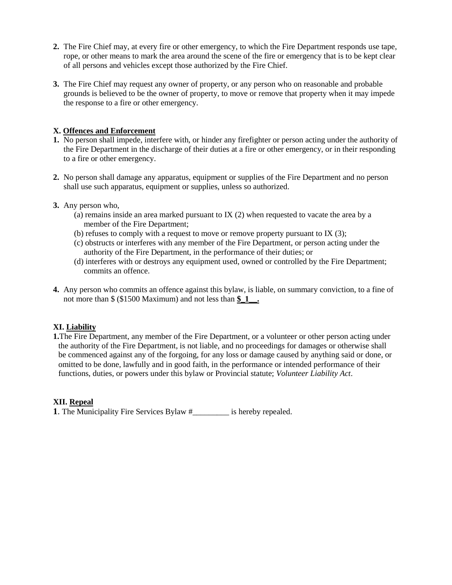- **2.** The Fire Chief may, at every fire or other emergency, to which the Fire Department responds use tape, rope, or other means to mark the area around the scene of the fire or emergency that is to be kept clear of all persons and vehicles except those authorized by the Fire Chief.
- **3.** The Fire Chief may request any owner of property, or any person who on reasonable and probable grounds is believed to be the owner of property, to move or remove that property when it may impede the response to a fire or other emergency.

## **X. Offences and Enforcement**

- **1.** No person shall impede, interfere with, or hinder any firefighter or person acting under the authority of the Fire Department in the discharge of their duties at a fire or other emergency, or in their responding to a fire or other emergency.
- **2.** No person shall damage any apparatus, equipment or supplies of the Fire Department and no person shall use such apparatus, equipment or supplies, unless so authorized.
- **3.** Any person who,
	- (a) remains inside an area marked pursuant to IX (2) when requested to vacate the area by a member of the Fire Department;
	- (b) refuses to comply with a request to move or remove property pursuant to IX (3);
	- (c) obstructs or interferes with any member of the Fire Department, or person acting under the authority of the Fire Department, in the performance of their duties; or
	- (d) interferes with or destroys any equipment used, owned or controlled by the Fire Department; commits an offence.
- **4.** Any person who commits an offence against this bylaw, is liable, on summary conviction, to a fine of not more than \$ (\$1500 Maximum) and not less than **\$\_1\_\_.**

#### **XI. Liability**

**1.**The Fire Department, any member of the Fire Department, or a volunteer or other person acting under the authority of the Fire Department, is not liable, and no proceedings for damages or otherwise shall be commenced against any of the forgoing, for any loss or damage caused by anything said or done, or omitted to be done, lawfully and in good faith, in the performance or intended performance of their functions, duties, or powers under this bylaw or Provincial statute; *Volunteer Liability Act*.

## **XII. Repeal**

**1**. The Municipality Fire Services Bylaw #\_\_\_\_\_\_\_\_\_ is hereby repealed.